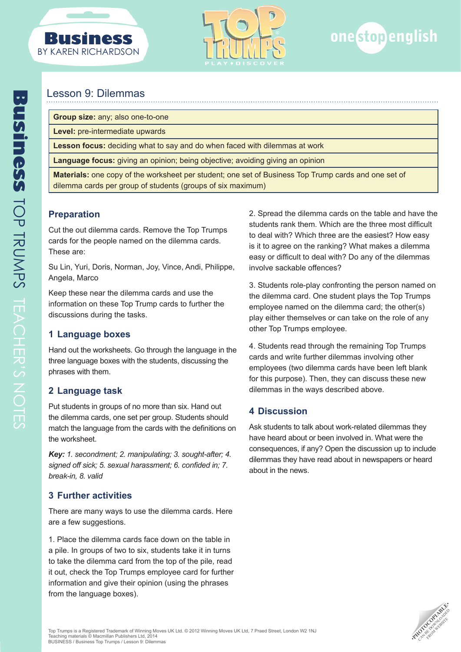



# Lesson 9: Dilemmas

**Group size:** any; also one-to-one

**Level:** pre-intermediate upwards

**Lesson focus:** deciding what to say and do when faced with dilemmas at work

**Language focus:** giving an opinion; being objective; avoiding giving an opinion

**Materials:** one copy of the worksheet per student; one set of Business Top Trump cards and one set of dilemma cards per group of students (groups of six maximum)

# **Preparation**

Cut the out dilemma cards. Remove the Top Trumps cards for the people named on the dilemma cards. These are:

Su Lin, Yuri, Doris, Norman, Joy, Vince, Andi, Philippe, Angela, Marco

Keep these near the dilemma cards and use the information on these Top Trump cards to further the discussions during the tasks.

# **1 Language boxes**

Hand out the worksheets. Go through the language in the three language boxes with the students, discussing the phrases with them.

# **2 Language task**

Put students in groups of no more than six. Hand out the dilemma cards, one set per group. Students should match the language from the cards with the definitions on the worksheet.

*Key: 1. secondment; 2. manipulating; 3. sought-after; 4. signed off sick; 5. sexual harassment; 6. confided in; 7. break-in, 8. valid*

# **3 Further activities**

There are many ways to use the dilemma cards. Here are a few suggestions.

1. Place the dilemma cards face down on the table in a pile. In groups of two to six, students take it in turns to take the dilemma card from the top of the pile, read it out, check the Top Trumps employee card for further information and give their opinion (using the phrases from the language boxes).

2. Spread the dilemma cards on the table and have the students rank them. Which are the three most difficult to deal with? Which three are the easiest? How easy is it to agree on the ranking? What makes a dilemma easy or difficult to deal with? Do any of the dilemmas involve sackable offences?

3. Students role-play confronting the person named on the dilemma card. One student plays the Top Trumps employee named on the dilemma card; the other(s) play either themselves or can take on the role of any other Top Trumps employee.

4. Students read through the remaining Top Trumps cards and write further dilemmas involving other employees (two dilemma cards have been left blank for this purpose). Then, they can discuss these new dilemmas in the ways described above.

# **4 Discussion**

Ask students to talk about work-related dilemmas they have heard about or been involved in. What were the consequences, if any? Open the discussion up to include dilemmas they have read about in newspapers or heard about in the news.

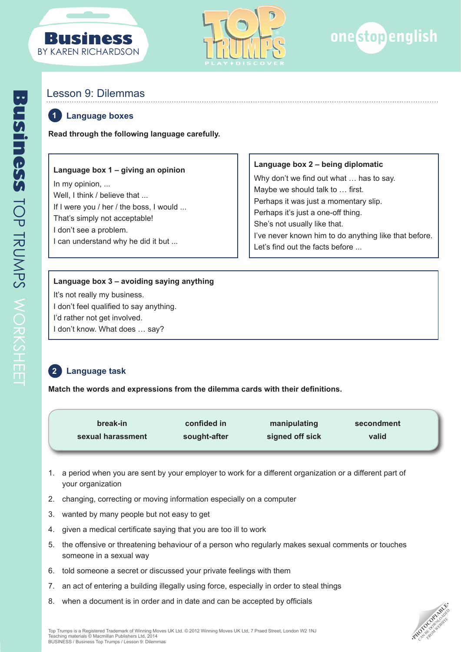





# Lesson 9: Dilemmas

#### **Language boxes 1**

**Read through the following language carefully.**

## **Language box 1 – giving an opinion**

In my opinion, ... Well, I think / believe that ... If I were you / her / the boss, I would ... That's simply not acceptable! I don't see a problem. I can understand why he did it but ...

#### **Language box 2 – being diplomatic**

Why don't we find out what … has to say. Maybe we should talk to … first. Perhaps it was just a momentary slip. Perhaps it's just a one-off thing. She's not usually like that. I've never known him to do anything like that before. Let's find out the facts before ...

### **Language box 3 – avoiding saying anything**

It's not really my business. I don't feel qualified to say anything. I'd rather not get involved. I don't know. What does … say?

#### **Language task 2**

**Match the words and expressions from the dilemma cards with their definitions.**

| break-in          | confided in  | manipulating    | secondment |  |
|-------------------|--------------|-----------------|------------|--|
| sexual harassment | sought-after | signed off sick | valid      |  |

- 1. a period when you are sent by your employer to work for a different organization or a different part of your organization
- 2. changing, correcting or moving information especially on a computer
- 3. wanted by many people but not easy to get
- 4. given a medical certificate saying that you are too ill to work
- 5. the offensive or threatening behaviour of a person who regularly makes sexual comments or touches someone in a sexual way
- 6. told someone a secret or discussed your private feelings with them
- 7. an act of entering a building illegally using force, especially in order to steal things
- 8. when a document is in order and in date and can be accepted by officials

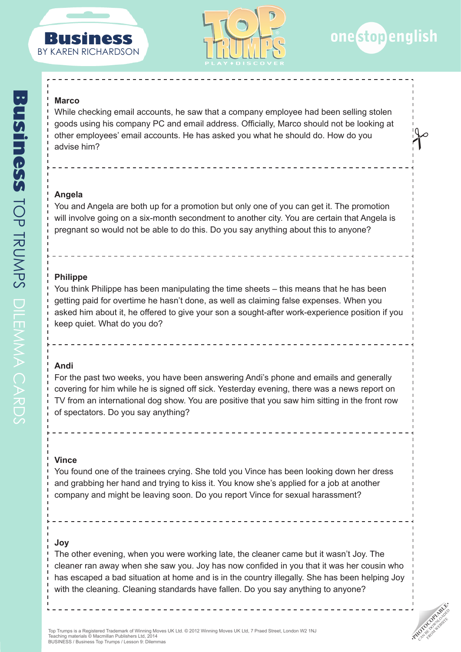





 $\int$ 

**PHOTOCOPIABLE** FROM WEBSITE

#### **Marco**

While checking email accounts, he saw that a company employee had been selling stolen goods using his company PC and email address. Officially, Marco should not be looking at other employees' email accounts. He has asked you what he should do. How do you advise him?

### **Angela**

You and Angela are both up for a promotion but only one of you can get it. The promotion will involve going on a six-month secondment to another city. You are certain that Angela is pregnant so would not be able to do this. Do you say anything about this to anyone?

### **Philippe**

You think Philippe has been manipulating the time sheets – this means that he has been getting paid for overtime he hasn't done, as well as claiming false expenses. When you asked him about it, he offered to give your son a sought-after work-experience position if you keep quiet. What do you do?

### **Andi**

For the past two weeks, you have been answering Andi's phone and emails and generally covering for him while he is signed off sick. Yesterday evening, there was a news report on TV from an international dog show. You are positive that you saw him sitting in the front row of spectators. Do you say anything?

# **Vince**

You found one of the trainees crying. She told you Vince has been looking down her dress and grabbing her hand and trying to kiss it. You know she's applied for a job at another company and might be leaving soon. Do you report Vince for sexual harassment?

# **Joy**

The other evening, when you were working late, the cleaner came but it wasn't Joy. The cleaner ran away when she saw you. Joy has now confided in you that it was her cousin who has escaped a bad situation at home and is in the country illegally. She has been helping Joy with the cleaning. Cleaning standards have fallen. Do you say anything to anyone?